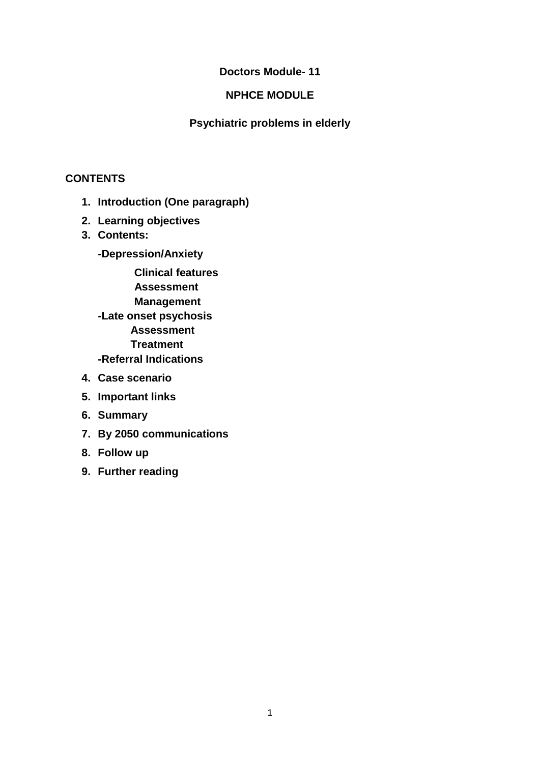## **Doctors Module- 11**

## **NPHCE MODULE**

### **Psychiatric problems in elderly**

## **CONTENTS**

- **1. Introduction (One paragraph)**
- **2. Learning objectives**
- **3. Contents:**
	- **-Depression/Anxiety**

 **Clinical features Assessment**

 **Management**

- **-Late onset psychosis Assessment Treatment**
- **-Referral Indications**
- **4. Case scenario**
- **5. Important links**
- **6. Summary**
- **7. By 2050 communications**
- **8. Follow up**
- **9. Further reading**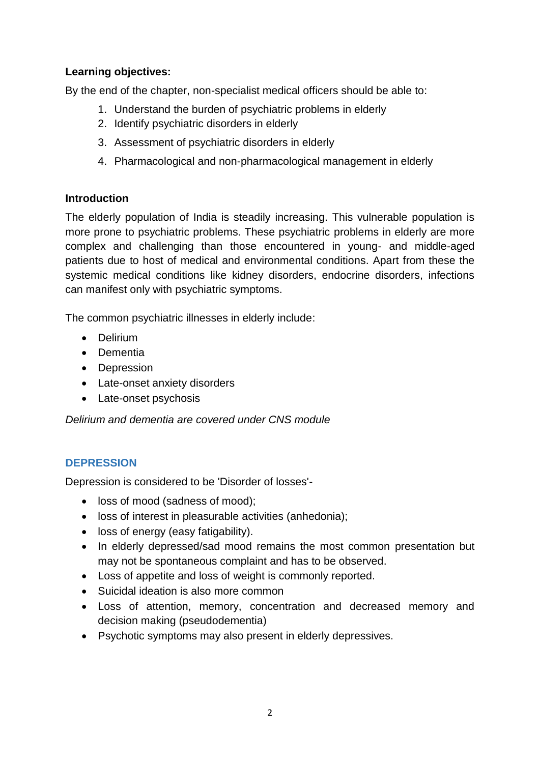## **Learning objectives:**

By the end of the chapter, non-specialist medical officers should be able to:

- 1. Understand the burden of psychiatric problems in elderly
- 2. Identify psychiatric disorders in elderly
- 3. Assessment of psychiatric disorders in elderly
- 4. Pharmacological and non-pharmacological management in elderly

### **Introduction**

The elderly population of India is steadily increasing. This vulnerable population is more prone to psychiatric problems. These psychiatric problems in elderly are more complex and challenging than those encountered in young- and middle-aged patients due to host of medical and environmental conditions. Apart from these the systemic medical conditions like kidney disorders, endocrine disorders, infections can manifest only with psychiatric symptoms.

The common psychiatric illnesses in elderly include:

- Delirium
- Dementia
- Depression
- Late-onset anxiety disorders
- Late-onset psychosis

*Delirium and dementia are covered under CNS module*

# **DEPRESSION**

Depression is considered to be 'Disorder of losses'-

- loss of mood (sadness of mood);
- loss of interest in pleasurable activities (anhedonia);
- loss of energy (easy fatigability).
- In elderly depressed/sad mood remains the most common presentation but may not be spontaneous complaint and has to be observed.
- Loss of appetite and loss of weight is commonly reported.
- Suicidal ideation is also more common
- Loss of attention, memory, concentration and decreased memory and decision making (pseudodementia)
- Psychotic symptoms may also present in elderly depressives.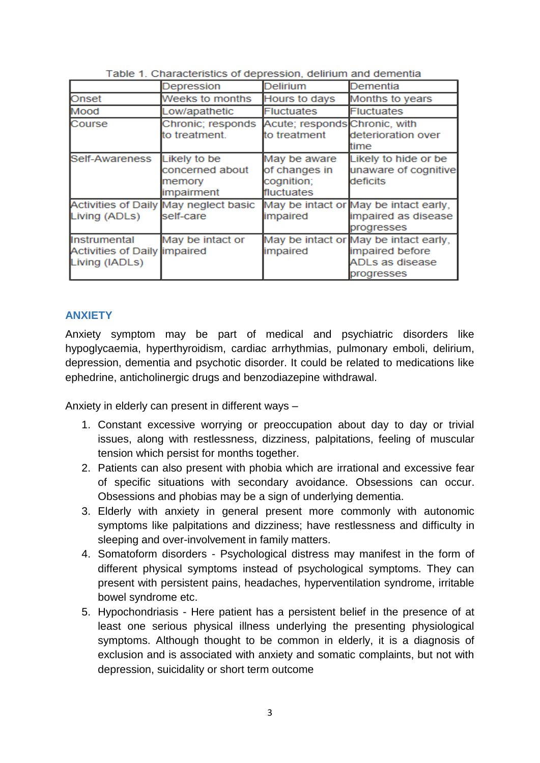|                                                                       | Depression                                              | Delirium                                                  | Dementia                                                                                  |
|-----------------------------------------------------------------------|---------------------------------------------------------|-----------------------------------------------------------|-------------------------------------------------------------------------------------------|
| Onset                                                                 | Weeks to months                                         | Hours to days                                             | Months to years                                                                           |
| Mood                                                                  | Low/apathetic                                           | <b>Fluctuates</b>                                         | <b>Fluctuates</b>                                                                         |
| Course                                                                | Chronic; responds<br>to treatment.                      | Acute; responds Chronic, with<br>to treatment             | deterioration over<br>time                                                                |
| Self-Awareness                                                        | Likely to be<br>concerned about<br>memory<br>impairment | May be aware<br>of changes in<br>cognition;<br>fluctuates | Likely to hide or be<br>unaware of cognitive<br>deficits                                  |
| Living (ADLs)                                                         | Activities of Daily May neglect basic<br>self-care      | impaired                                                  | May be intact or May be intact early,<br>impaired as disease<br>progresses                |
| Instrumental<br><b>Activities of Daily impaired</b><br>Living (IADLs) | May be intact or                                        | impaired                                                  | May be intact or May be intact early,<br>impaired before<br>ADLs as disease<br>progresses |

| Table 1. Characteristics of depression, delirium and dementia |  |
|---------------------------------------------------------------|--|
|---------------------------------------------------------------|--|

### **ANXIETY**

Anxiety symptom may be part of medical and psychiatric disorders like hypoglycaemia, hyperthyroidism, cardiac arrhythmias, pulmonary emboli, delirium, depression, dementia and psychotic disorder. It could be related to medications like ephedrine, anticholinergic drugs and benzodiazepine withdrawal.

Anxiety in elderly can present in different ways –

- 1. Constant excessive worrying or preoccupation about day to day or trivial issues, along with restlessness, dizziness, palpitations, feeling of muscular tension which persist for months together.
- 2. Patients can also present with phobia which are irrational and excessive fear of specific situations with secondary avoidance. Obsessions can occur. Obsessions and phobias may be a sign of underlying dementia.
- 3. Elderly with anxiety in general present more commonly with autonomic symptoms like palpitations and dizziness; have restlessness and difficulty in sleeping and over-involvement in family matters.
- 4. Somatoform disorders Psychological distress may manifest in the form of different physical symptoms instead of psychological symptoms. They can present with persistent pains, headaches, hyperventilation syndrome, irritable bowel syndrome etc.
- 5. Hypochondriasis Here patient has a persistent belief in the presence of at least one serious physical illness underlying the presenting physiological symptoms. Although thought to be common in elderly, it is a diagnosis of exclusion and is associated with anxiety and somatic complaints, but not with depression, suicidality or short term outcome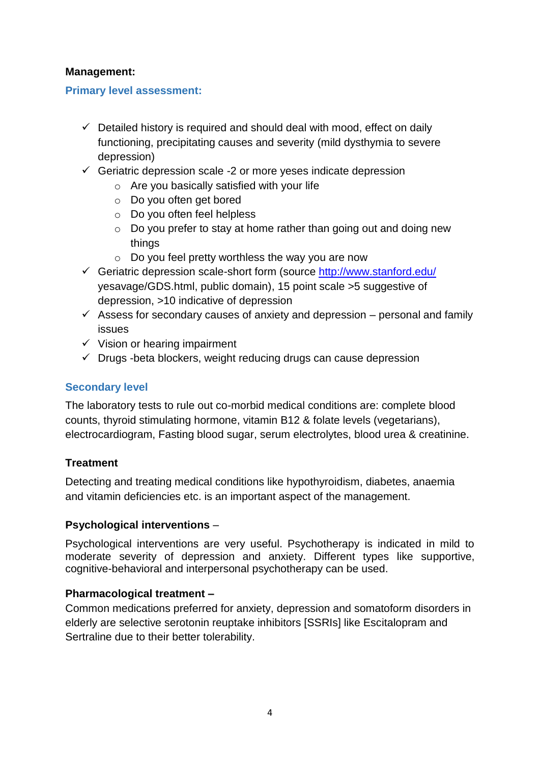### **Management:**

#### **Primary level assessment:**

- $\checkmark$  Detailed history is required and should deal with mood, effect on daily functioning, precipitating causes and severity (mild dysthymia to severe depression)
- $\checkmark$  Geriatric depression scale -2 or more yeses indicate depression
	- $\circ$  Are you basically satisfied with your life
	- o Do you often get bored
	- o Do you often feel helpless
	- o Do you prefer to stay at home rather than going out and doing new things
	- $\circ$  Do you feel pretty worthless the way you are now
- ✓ Geriatric depression scale-short form (source<http://www.stanford.edu/> yesavage/GDS.html, public domain), 15 point scale >5 suggestive of depression, >10 indicative of depression
- $\checkmark$  Assess for secondary causes of anxiety and depression personal and family issues
- $\checkmark$  Vision or hearing impairment
- $\checkmark$  Drugs -beta blockers, weight reducing drugs can cause depression

### **Secondary level**

The laboratory tests to rule out co-morbid medical conditions are: complete blood counts, thyroid stimulating hormone, vitamin B12 & folate levels (vegetarians), electrocardiogram, Fasting blood sugar, serum electrolytes, blood urea & creatinine.

#### **Treatment**

Detecting and treating medical conditions like hypothyroidism, diabetes, anaemia and vitamin deficiencies etc. is an important aspect of the management.

#### **Psychological interventions** –

Psychological interventions are very useful. Psychotherapy is indicated in mild to moderate severity of depression and anxiety. Different types like supportive, cognitive-behavioral and interpersonal psychotherapy can be used.

#### **Pharmacological treatment –**

Common medications preferred for anxiety, depression and somatoform disorders in elderly are selective serotonin reuptake inhibitors [SSRIs] like Escitalopram and Sertraline due to their better tolerability.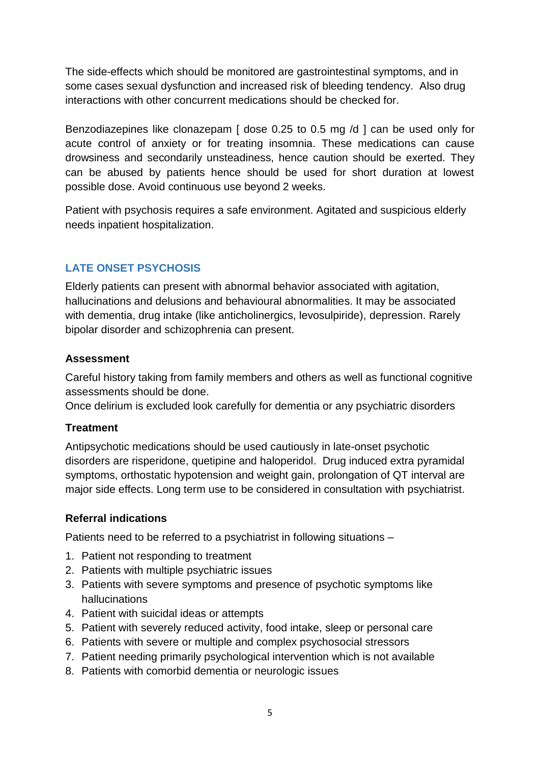The side-effects which should be monitored are gastrointestinal symptoms, and in some cases sexual dysfunction and increased risk of bleeding tendency. Also drug interactions with other concurrent medications should be checked for.

Benzodiazepines like clonazepam [ dose 0.25 to 0.5 mg /d ] can be used only for acute control of anxiety or for treating insomnia. These medications can cause drowsiness and secondarily unsteadiness, hence caution should be exerted. They can be abused by patients hence should be used for short duration at lowest possible dose. Avoid continuous use beyond 2 weeks.

Patient with psychosis requires a safe environment. Agitated and suspicious elderly needs inpatient hospitalization.

# **LATE ONSET PSYCHOSIS**

Elderly patients can present with abnormal behavior associated with agitation, hallucinations and delusions and behavioural abnormalities. It may be associated with dementia, drug intake (like anticholinergics, levosulpiride), depression. Rarely bipolar disorder and schizophrenia can present.

### **Assessment**

Careful history taking from family members and others as well as functional cognitive assessments should be done.

Once delirium is excluded look carefully for dementia or any psychiatric disorders

### **Treatment**

Antipsychotic medications should be used cautiously in late-onset psychotic disorders are risperidone, quetipine and haloperidol. Drug induced extra pyramidal symptoms, orthostatic hypotension and weight gain, prolongation of QT interval are major side effects. Long term use to be considered in consultation with psychiatrist.

### **Referral indications**

Patients need to be referred to a psychiatrist in following situations –

- 1. Patient not responding to treatment
- 2. Patients with multiple psychiatric issues
- 3. Patients with severe symptoms and presence of psychotic symptoms like hallucinations
- 4. Patient with suicidal ideas or attempts
- 5. Patient with severely reduced activity, food intake, sleep or personal care
- 6. Patients with severe or multiple and complex psychosocial stressors
- 7. Patient needing primarily psychological intervention which is not available
- 8. Patients with comorbid dementia or neurologic issues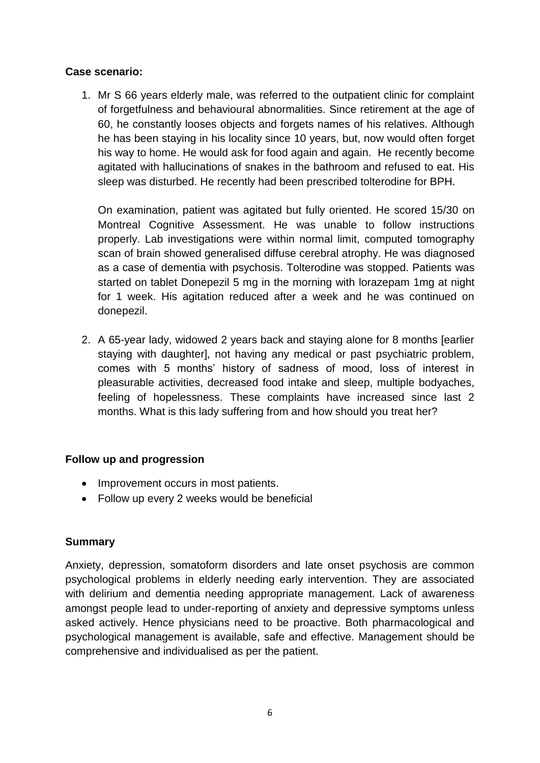### **Case scenario:**

1. Mr S 66 years elderly male, was referred to the outpatient clinic for complaint of forgetfulness and behavioural abnormalities. Since retirement at the age of 60, he constantly looses objects and forgets names of his relatives. Although he has been staying in his locality since 10 years, but, now would often forget his way to home. He would ask for food again and again. He recently become agitated with hallucinations of snakes in the bathroom and refused to eat. His sleep was disturbed. He recently had been prescribed tolterodine for BPH.

On examination, patient was agitated but fully oriented. He scored 15/30 on Montreal Cognitive Assessment. He was unable to follow instructions properly. Lab investigations were within normal limit, computed tomography scan of brain showed generalised diffuse cerebral atrophy. He was diagnosed as a case of dementia with psychosis. Tolterodine was stopped. Patients was started on tablet Donepezil 5 mg in the morning with lorazepam 1mg at night for 1 week. His agitation reduced after a week and he was continued on donepezil.

2. A 65-year lady, widowed 2 years back and staying alone for 8 months [earlier staying with daughter], not having any medical or past psychiatric problem, comes with 5 months' history of sadness of mood, loss of interest in pleasurable activities, decreased food intake and sleep, multiple bodyaches, feeling of hopelessness. These complaints have increased since last 2 months. What is this lady suffering from and how should you treat her?

### **Follow up and progression**

- Improvement occurs in most patients.
- Follow up every 2 weeks would be beneficial

### **Summary**

Anxiety, depression, somatoform disorders and late onset psychosis are common psychological problems in elderly needing early intervention. They are associated with delirium and dementia needing appropriate management. Lack of awareness amongst people lead to under-reporting of anxiety and depressive symptoms unless asked actively. Hence physicians need to be proactive. Both pharmacological and psychological management is available, safe and effective. Management should be comprehensive and individualised as per the patient.